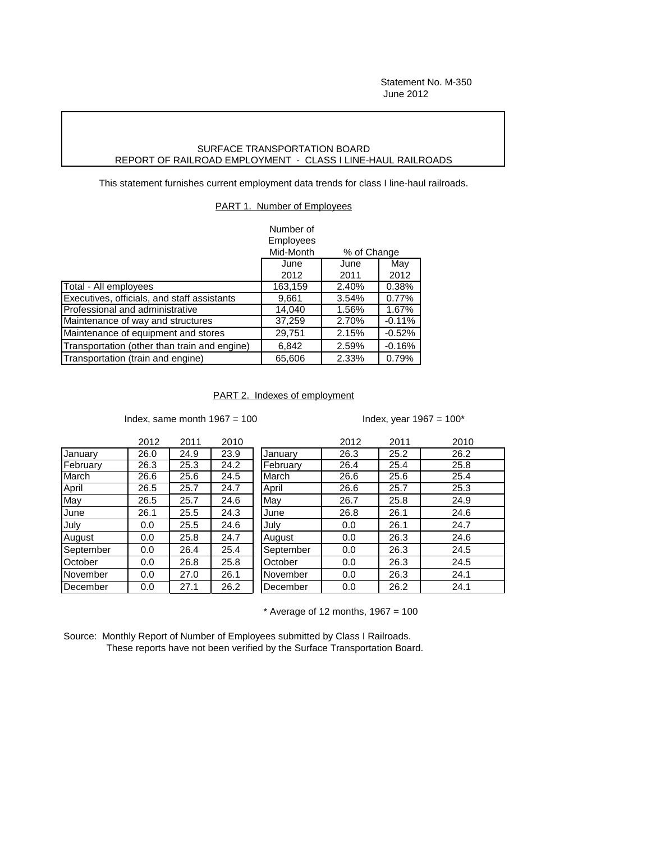## SURFACE TRANSPORTATION BOARD REPORT OF RAILROAD EMPLOYMENT - CLASS I LINE-HAUL RAILROADS

This statement furnishes current employment data trends for class I line-haul railroads.

PART 1. Number of Employees

|                                              | Number of                |       |           |
|----------------------------------------------|--------------------------|-------|-----------|
|                                              | Employees                |       |           |
|                                              | Mid-Month<br>% of Change |       |           |
|                                              | June                     | June  | May       |
|                                              | 2012                     | 2011  | 2012      |
| Total - All employees                        | 163,159                  | 2.40% | 0.38%     |
| Executives, officials, and staff assistants  | 9,661                    | 3.54% | 0.77%     |
| Professional and administrative              | 14,040                   | 1.56% | 1.67%     |
| Maintenance of way and structures            | 37,259                   | 2.70% | $-0.11%$  |
| Maintenance of equipment and stores          | 29,751                   | 2.15% | $-0.52\%$ |
| Transportation (other than train and engine) | 6,842                    | 2.59% | $-0.16%$  |
| Transportation (train and engine)            | 65,606                   | 2.33% | 0.79%     |

## PART 2. Indexes of employment

Index, same month  $1967 = 100$  Index, year  $1967 = 100^*$ 

|           | 2012 | 2011 | 2010 |           | 2012 | 2011 | 2010 |
|-----------|------|------|------|-----------|------|------|------|
| January   | 26.0 | 24.9 | 23.9 | January   | 26.3 | 25.2 | 26.2 |
| February  | 26.3 | 25.3 | 24.2 | February  | 26.4 | 25.4 | 25.8 |
| March     | 26.6 | 25.6 | 24.5 | March     | 26.6 | 25.6 | 25.4 |
| April     | 26.5 | 25.7 | 24.7 | April     | 26.6 | 25.7 | 25.3 |
| May       | 26.5 | 25.7 | 24.6 | May       | 26.7 | 25.8 | 24.9 |
| June      | 26.1 | 25.5 | 24.3 | June      | 26.8 | 26.1 | 24.6 |
| July      | 0.0  | 25.5 | 24.6 | July      | 0.0  | 26.1 | 24.7 |
| August    | 0.0  | 25.8 | 24.7 | August    | 0.0  | 26.3 | 24.6 |
| September | 0.0  | 26.4 | 25.4 | September | 0.0  | 26.3 | 24.5 |
| October   | 0.0  | 26.8 | 25.8 | October   | 0.0  | 26.3 | 24.5 |
| November  | 0.0  | 27.0 | 26.1 | November  | 0.0  | 26.3 | 24.1 |
| December  | 0.0  | 27.1 | 26.2 | December  | 0.0  | 26.2 | 24.1 |

 $*$  Average of 12 months, 1967 = 100

Source: Monthly Report of Number of Employees submitted by Class I Railroads. These reports have not been verified by the Surface Transportation Board.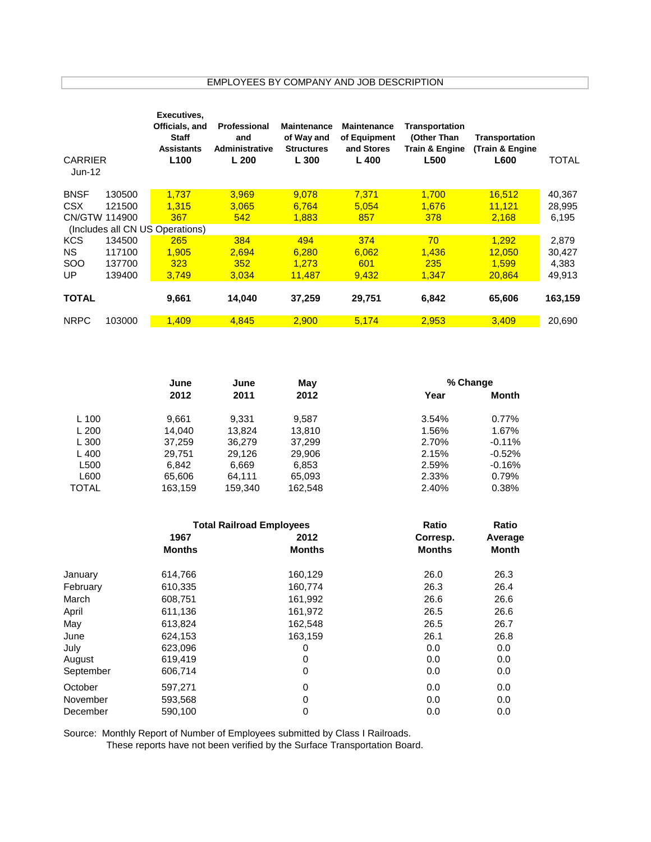EMPLOYEES BY COMPANY AND JOB DESCRIPTION

| <b>CARRIER</b><br>Jun-12 |               | Executives,<br>Officials, and<br><b>Staff</b><br><b>Assistants</b><br>L <sub>100</sub> | Professional<br>and<br>Administrative<br>L200 | <b>Maintenance</b><br>of Way and<br><b>Structures</b><br>L 300 | <b>Maintenance</b><br>of Equipment<br>and Stores<br>$L$ 400 | Transportation<br>(Other Than<br>Train & Engine<br><b>L500</b> | Transportation<br>(Train & Engine<br>L600 | <b>TOTAL</b> |
|--------------------------|---------------|----------------------------------------------------------------------------------------|-----------------------------------------------|----------------------------------------------------------------|-------------------------------------------------------------|----------------------------------------------------------------|-------------------------------------------|--------------|
| <b>BNSF</b>              | 130500        | 1.737                                                                                  | 3.969                                         | 9.078                                                          | 7.371                                                       | 1.700                                                          | 16,512                                    | 40,367       |
| CSX                      | 121500        | 1.315                                                                                  | 3.065                                         | 6.764                                                          | 5.054                                                       | 1.676                                                          | 11.121                                    | 28,995       |
|                          | CN/GTW 114900 | 367                                                                                    | 542                                           | 1,883                                                          | 857                                                         | 378                                                            | 2,168                                     | 6,195        |
|                          |               | (Includes all CN US Operations)                                                        |                                               |                                                                |                                                             |                                                                |                                           |              |
| <b>KCS</b>               | 134500        | 265                                                                                    | 384                                           | 494                                                            | 374                                                         | 70                                                             | 1,292                                     | 2,879        |
| NS.                      | 117100        | 1,905                                                                                  | 2.694                                         | 6,280                                                          | 6,062                                                       | 1,436                                                          | 12,050                                    | 30,427       |
| <b>SOO</b>               | 137700        | 323                                                                                    | 352                                           | 1.273                                                          | 601                                                         | 235                                                            | 1.599                                     | 4,383        |
| UP                       | 139400        | 3,749                                                                                  | 3,034                                         | 11,487                                                         | 9,432                                                       | 1,347                                                          | 20,864                                    | 49,913       |
| <b>TOTAL</b>             |               | 9,661                                                                                  | 14,040                                        | 37,259                                                         | 29,751                                                      | 6,842                                                          | 65,606                                    | 163,159      |
| <b>NRPC</b>              | 103000        | 1.409                                                                                  | 4.845                                         | 2.900                                                          | 5,174                                                       | 2,953                                                          | 3,409                                     | 20.690       |

|              | June    | June    | May     | % Change |          |  |
|--------------|---------|---------|---------|----------|----------|--|
|              | 2012    | 2011    | 2012    | Year     | Month    |  |
| L 100        | 9.661   | 9.331   | 9.587   | 3.54%    | 0.77%    |  |
| L200         | 14.040  | 13,824  | 13,810  | 1.56%    | 1.67%    |  |
| L 300        | 37,259  | 36,279  | 37,299  | 2.70%    | $-0.11%$ |  |
| $L$ 400      | 29.751  | 29.126  | 29,906  | 2.15%    | $-0.52%$ |  |
| L500         | 6,842   | 6,669   | 6,853   | 2.59%    | $-0.16%$ |  |
| L600         | 65,606  | 64.111  | 65,093  | 2.33%    | 0.79%    |  |
| <b>TOTAL</b> | 163.159 | 159,340 | 162.548 | 2.40%    | 0.38%    |  |

|           | <b>Total Railroad Employees</b> | Ratio         | <b>Ratio</b>  |         |
|-----------|---------------------------------|---------------|---------------|---------|
|           | 1967                            | 2012          | Corresp.      | Average |
|           | <b>Months</b>                   | <b>Months</b> | <b>Months</b> | Month   |
| January   | 614,766                         | 160,129       | 26.0          | 26.3    |
| February  | 610,335                         | 160,774       | 26.3          | 26.4    |
| March     | 608,751                         | 161,992       | 26.6          | 26.6    |
| April     | 611,136                         | 161,972       | 26.5          | 26.6    |
| May       | 613,824                         | 162,548       | 26.5          | 26.7    |
| June      | 624,153                         | 163,159       | 26.1          | 26.8    |
| July      | 623,096                         | 0             | 0.0           | 0.0     |
| August    | 619,419                         | 0             | 0.0           | 0.0     |
| September | 606,714                         | 0             | 0.0           | 0.0     |
| October   | 597,271                         | 0             | 0.0           | 0.0     |
| November  | 593,568                         | 0             | 0.0           | 0.0     |
| December  | 590,100                         | 0             | 0.0           | 0.0     |

Source: Monthly Report of Number of Employees submitted by Class I Railroads.

These reports have not been verified by the Surface Transportation Board.